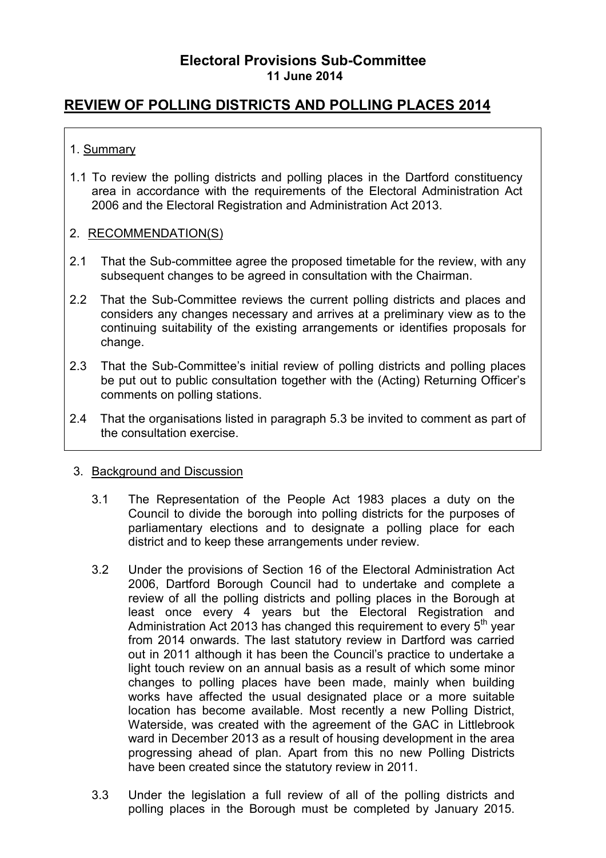# **REVIEW OF POLLING DISTRICTS AND POLLING PLACES 2014**

## 1. Summary

1.1 To review the polling districts and polling places in the Dartford constituency area in accordance with the requirements of the Electoral Administration Act 2006 and the Electoral Registration and Administration Act 2013.

## 2. RECOMMENDATION(S)

- 2.1 That the Sub-committee agree the proposed timetable for the review, with any subsequent changes to be agreed in consultation with the Chairman.
- 2.2 That the Sub-Committee reviews the current polling districts and places and considers any changes necessary and arrives at a preliminary view as to the continuing suitability of the existing arrangements or identifies proposals for change.
- 2.3 That the Sub-Committee's initial review of polling districts and polling places be put out to public consultation together with the (Acting) Returning Officer's comments on polling stations.
- 2.4 That the organisations listed in paragraph 5.3 be invited to comment as part of the consultation exercise.

## 3. Background and Discussion

- 3.1 The Representation of the People Act 1983 places a duty on the Council to divide the borough into polling districts for the purposes of parliamentary elections and to designate a polling place for each district and to keep these arrangements under review.
- 3.2 Under the provisions of Section 16 of the Electoral Administration Act 2006, Dartford Borough Council had to undertake and complete a review of all the polling districts and polling places in the Borough at least once every 4 years but the Electoral Registration and Administration Act 2013 has changed this requirement to every  $5<sup>th</sup>$  year from 2014 onwards. The last statutory review in Dartford was carried out in 2011 although it has been the Council's practice to undertake a light touch review on an annual basis as a result of which some minor changes to polling places have been made, mainly when building works have affected the usual designated place or a more suitable location has become available. Most recently a new Polling District, Waterside, was created with the agreement of the GAC in Littlebrook ward in December 2013 as a result of housing development in the area progressing ahead of plan. Apart from this no new Polling Districts have been created since the statutory review in 2011.
- 3.3 Under the legislation a full review of all of the polling districts and polling places in the Borough must be completed by January 2015.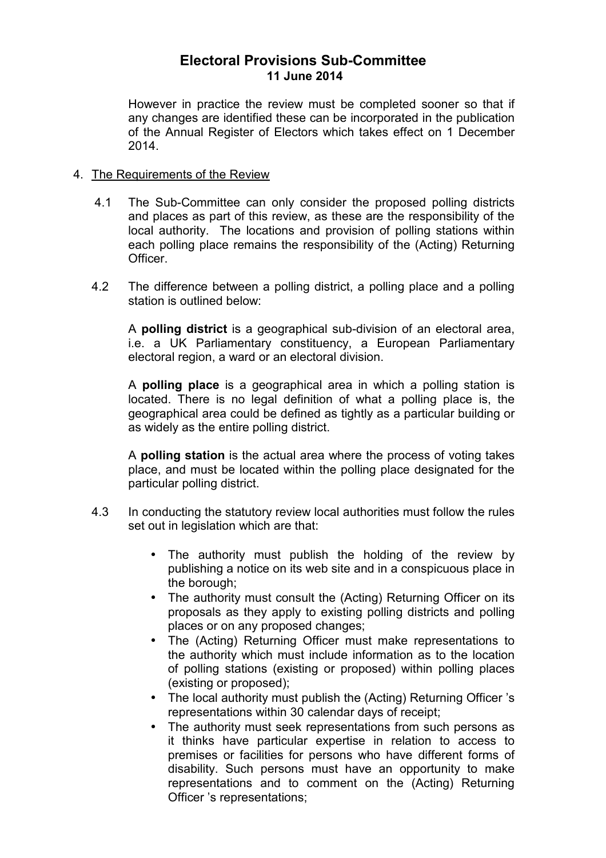However in practice the review must be completed sooner so that if any changes are identified these can be incorporated in the publication of the Annual Register of Electors which takes effect on 1 December 2014.

#### 4. The Requirements of the Review

- 4.1 The Sub-Committee can only consider the proposed polling districts and places as part of this review, as these are the responsibility of the local authority. The locations and provision of polling stations within each polling place remains the responsibility of the (Acting) Returning Officer.
- 4.2 The difference between a polling district, a polling place and a polling station is outlined below:

A **polling district** is a geographical sub-division of an electoral area, i.e. a UK Parliamentary constituency, a European Parliamentary electoral region, a ward or an electoral division.

A **polling place** is a geographical area in which a polling station is located. There is no legal definition of what a polling place is, the geographical area could be defined as tightly as a particular building or as widely as the entire polling district.

A **polling station** is the actual area where the process of voting takes place, and must be located within the polling place designated for the particular polling district.

- 4.3 In conducting the statutory review local authorities must follow the rules set out in legislation which are that:
	- The authority must publish the holding of the review by publishing a notice on its web site and in a conspicuous place in the borough;
	- The authority must consult the (Acting) Returning Officer on its proposals as they apply to existing polling districts and polling places or on any proposed changes;
	- The (Acting) Returning Officer must make representations to the authority which must include information as to the location of polling stations (existing or proposed) within polling places (existing or proposed);
	- The local authority must publish the (Acting) Returning Officer's representations within 30 calendar days of receipt;
	- The authority must seek representations from such persons as it thinks have particular expertise in relation to access to premises or facilities for persons who have different forms of disability. Such persons must have an opportunity to make representations and to comment on the (Acting) Returning Officer 's representations;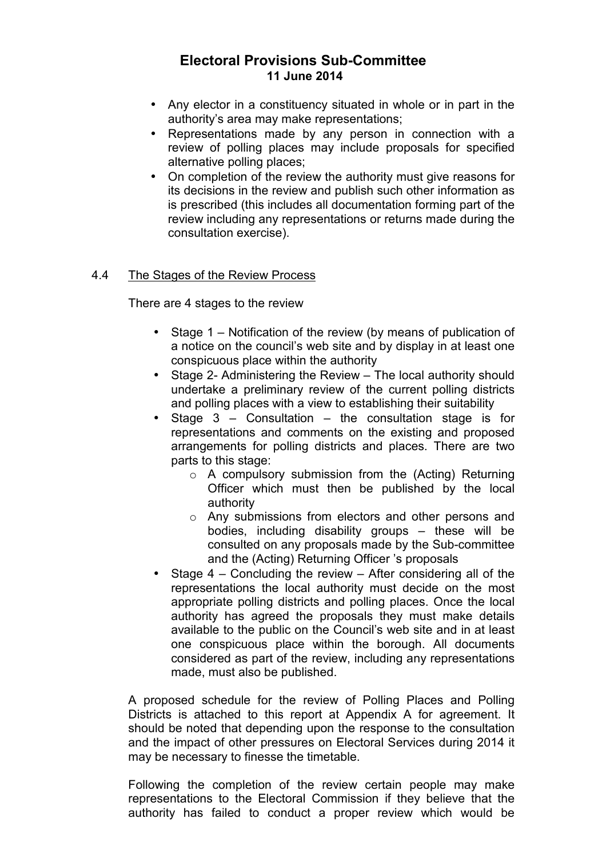- Any elector in a constituency situated in whole or in part in the authority's area may make representations;
- Representations made by any person in connection with a review of polling places may include proposals for specified alternative polling places;
- On completion of the review the authority must give reasons for its decisions in the review and publish such other information as is prescribed (this includes all documentation forming part of the review including any representations or returns made during the consultation exercise).

## 4.4 The Stages of the Review Process

There are 4 stages to the review

- Stage 1 Notification of the review (by means of publication of a notice on the council's web site and by display in at least one conspicuous place within the authority
- Stage 2- Administering the Review The local authority should undertake a preliminary review of the current polling districts and polling places with a view to establishing their suitability
- Stage 3 Consultation the consultation stage is for representations and comments on the existing and proposed arrangements for polling districts and places. There are two parts to this stage:
	- $\circ$  A compulsory submission from the (Acting) Returning Officer which must then be published by the local authority
	- o Any submissions from electors and other persons and bodies, including disability groups – these will be consulted on any proposals made by the Sub-committee and the (Acting) Returning Officer 's proposals
- Stage  $4$  Concluding the review After considering all of the representations the local authority must decide on the most appropriate polling districts and polling places. Once the local authority has agreed the proposals they must make details available to the public on the Council's web site and in at least one conspicuous place within the borough. All documents considered as part of the review, including any representations made, must also be published.

A proposed schedule for the review of Polling Places and Polling Districts is attached to this report at Appendix A for agreement. It should be noted that depending upon the response to the consultation and the impact of other pressures on Electoral Services during 2014 it may be necessary to finesse the timetable.

Following the completion of the review certain people may make representations to the Electoral Commission if they believe that the authority has failed to conduct a proper review which would be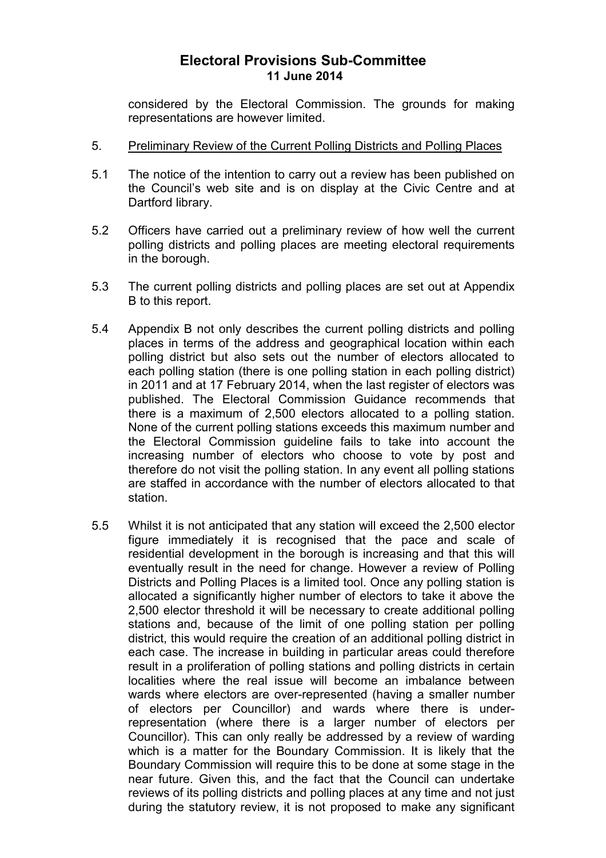considered by the Electoral Commission. The grounds for making representations are however limited.

#### 5. Preliminary Review of the Current Polling Districts and Polling Places

- 5.1 The notice of the intention to carry out a review has been published on the Council's web site and is on display at the Civic Centre and at Dartford library.
- 5.2 Officers have carried out a preliminary review of how well the current polling districts and polling places are meeting electoral requirements in the borough.
- 5.3 The current polling districts and polling places are set out at Appendix B to this report.
- 5.4 Appendix B not only describes the current polling districts and polling places in terms of the address and geographical location within each polling district but also sets out the number of electors allocated to each polling station (there is one polling station in each polling district) in 2011 and at 17 February 2014, when the last register of electors was published. The Electoral Commission Guidance recommends that there is a maximum of 2,500 electors allocated to a polling station. None of the current polling stations exceeds this maximum number and the Electoral Commission guideline fails to take into account the increasing number of electors who choose to vote by post and therefore do not visit the polling station. In any event all polling stations are staffed in accordance with the number of electors allocated to that station.
- 5.5 Whilst it is not anticipated that any station will exceed the 2,500 elector figure immediately it is recognised that the pace and scale of residential development in the borough is increasing and that this will eventually result in the need for change. However a review of Polling Districts and Polling Places is a limited tool. Once any polling station is allocated a significantly higher number of electors to take it above the 2,500 elector threshold it will be necessary to create additional polling stations and, because of the limit of one polling station per polling district, this would require the creation of an additional polling district in each case. The increase in building in particular areas could therefore result in a proliferation of polling stations and polling districts in certain localities where the real issue will become an imbalance between wards where electors are over-represented (having a smaller number of electors per Councillor) and wards where there is underrepresentation (where there is a larger number of electors per Councillor). This can only really be addressed by a review of warding which is a matter for the Boundary Commission. It is likely that the Boundary Commission will require this to be done at some stage in the near future. Given this, and the fact that the Council can undertake reviews of its polling districts and polling places at any time and not just during the statutory review, it is not proposed to make any significant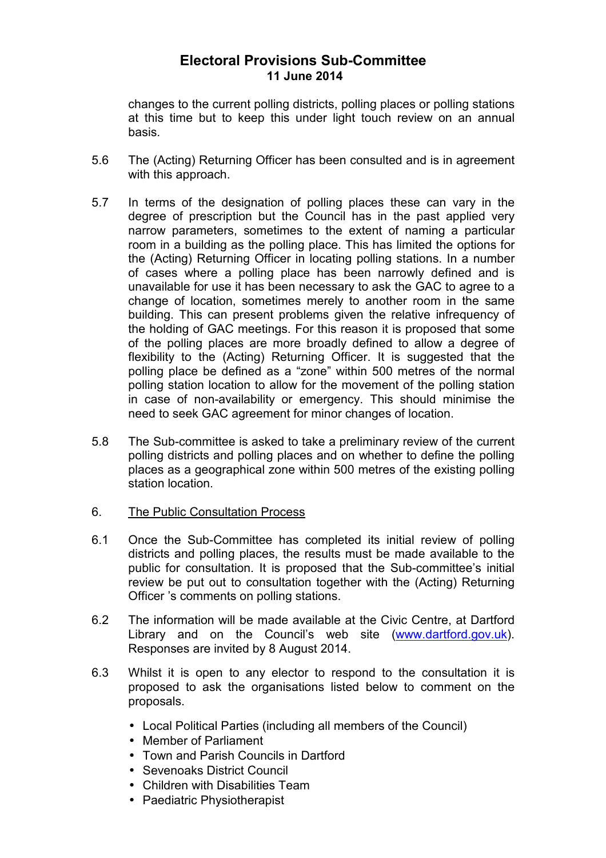changes to the current polling districts, polling places or polling stations at this time but to keep this under light touch review on an annual basis.

- 5.6 The (Acting) Returning Officer has been consulted and is in agreement with this approach.
- 5.7 In terms of the designation of polling places these can vary in the degree of prescription but the Council has in the past applied very narrow parameters, sometimes to the extent of naming a particular room in a building as the polling place. This has limited the options for the (Acting) Returning Officer in locating polling stations. In a number of cases where a polling place has been narrowly defined and is unavailable for use it has been necessary to ask the GAC to agree to a change of location, sometimes merely to another room in the same building. This can present problems given the relative infrequency of the holding of GAC meetings. For this reason it is proposed that some of the polling places are more broadly defined to allow a degree of flexibility to the (Acting) Returning Officer. It is suggested that the polling place be defined as a "zone" within 500 metres of the normal polling station location to allow for the movement of the polling station in case of non-availability or emergency. This should minimise the need to seek GAC agreement for minor changes of location.
- 5.8 The Sub-committee is asked to take a preliminary review of the current polling districts and polling places and on whether to define the polling places as a geographical zone within 500 metres of the existing polling station location.
- 6. The Public Consultation Process
- 6.1 Once the Sub-Committee has completed its initial review of polling districts and polling places, the results must be made available to the public for consultation. It is proposed that the Sub-committee's initial review be put out to consultation together with the (Acting) Returning Officer 's comments on polling stations.
- 6.2 The information will be made available at the Civic Centre, at Dartford Library and on the Council's web site (www.dartford.gov.uk). Responses are invited by 8 August 2014.
- 6.3 Whilst it is open to any elector to respond to the consultation it is proposed to ask the organisations listed below to comment on the proposals.
	- Local Political Parties (including all members of the Council)
	- Member of Parliament
	- Town and Parish Councils in Dartford
	- Sevenoaks District Council
	- Children with Disabilities Team
	- Paediatric Physiotherapist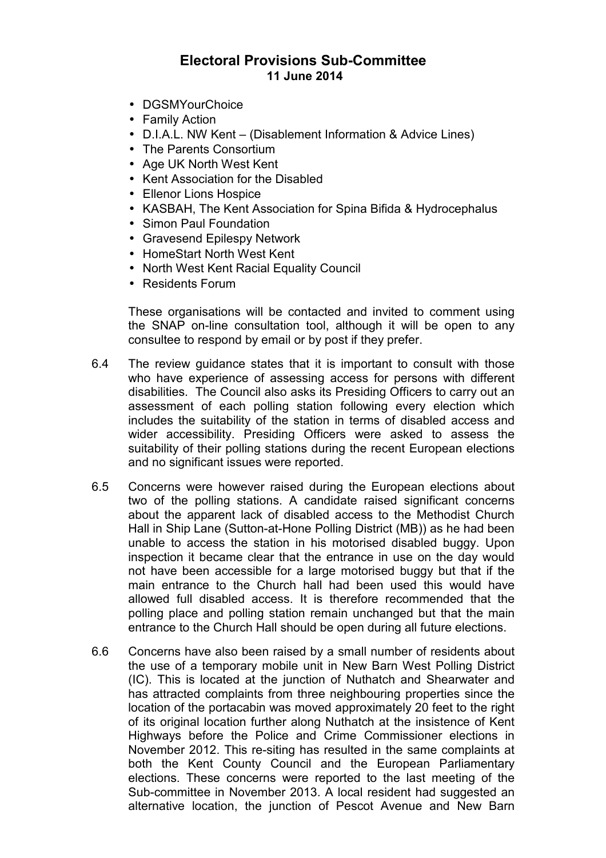- DGSMYourChoice
- Family Action
- D.I.A.L. NW Kent (Disablement Information & Advice Lines)
- The Parents Consortium
- Age UK North West Kent
- Kent Association for the Disabled
- Ellenor Lions Hospice
- KASBAH, The Kent Association for Spina Bifida & Hydrocephalus
- Simon Paul Foundation
- Gravesend Epilespy Network
- HomeStart North West Kent
- North West Kent Racial Equality Council
- Residents Forum

These organisations will be contacted and invited to comment using the SNAP on-line consultation tool, although it will be open to any consultee to respond by email or by post if they prefer.

- 6.4 The review guidance states that it is important to consult with those who have experience of assessing access for persons with different disabilities. The Council also asks its Presiding Officers to carry out an assessment of each polling station following every election which includes the suitability of the station in terms of disabled access and wider accessibility. Presiding Officers were asked to assess the suitability of their polling stations during the recent European elections and no significant issues were reported.
- 6.5 Concerns were however raised during the European elections about two of the polling stations. A candidate raised significant concerns about the apparent lack of disabled access to the Methodist Church Hall in Ship Lane (Sutton-at-Hone Polling District (MB)) as he had been unable to access the station in his motorised disabled buggy. Upon inspection it became clear that the entrance in use on the day would not have been accessible for a large motorised buggy but that if the main entrance to the Church hall had been used this would have allowed full disabled access. It is therefore recommended that the polling place and polling station remain unchanged but that the main entrance to the Church Hall should be open during all future elections.
- 6.6 Concerns have also been raised by a small number of residents about the use of a temporary mobile unit in New Barn West Polling District (IC). This is located at the junction of Nuthatch and Shearwater and has attracted complaints from three neighbouring properties since the location of the portacabin was moved approximately 20 feet to the right of its original location further along Nuthatch at the insistence of Kent Highways before the Police and Crime Commissioner elections in November 2012. This re-siting has resulted in the same complaints at both the Kent County Council and the European Parliamentary elections. These concerns were reported to the last meeting of the Sub-committee in November 2013. A local resident had suggested an alternative location, the junction of Pescot Avenue and New Barn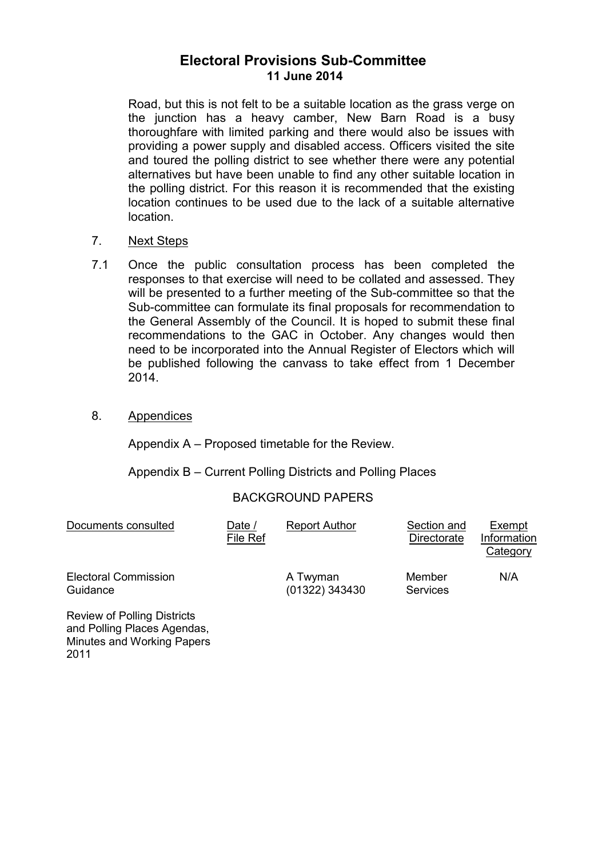Road, but this is not felt to be a suitable location as the grass verge on the junction has a heavy camber, New Barn Road is a busy thoroughfare with limited parking and there would also be issues with providing a power supply and disabled access. Officers visited the site and toured the polling district to see whether there were any potential alternatives but have been unable to find any other suitable location in the polling district. For this reason it is recommended that the existing location continues to be used due to the lack of a suitable alternative location.

## 7. Next Steps

- 7.1 Once the public consultation process has been completed the responses to that exercise will need to be collated and assessed. They will be presented to a further meeting of the Sub-committee so that the Sub-committee can formulate its final proposals for recommendation to the General Assembly of the Council. It is hoped to submit these final recommendations to the GAC in October. Any changes would then need to be incorporated into the Annual Register of Electors which will be published following the canvass to take effect from 1 December 2014.
- 8. Appendices

Appendix A – Proposed timetable for the Review.

Appendix B – Current Polling Districts and Polling Places

## BACKGROUND PAPERS

| Documents consulted                     | Date /<br>File Ref | <b>Report Author</b>       | Section and<br>Directorate | Exempt<br>Information<br>Category |
|-----------------------------------------|--------------------|----------------------------|----------------------------|-----------------------------------|
| <b>Electoral Commission</b><br>Guidance |                    | A Twyman<br>(01322) 343430 | Member<br><b>Services</b>  | N/A                               |

Review of Polling Districts and Polling Places Agendas, Minutes and Working Papers 2011